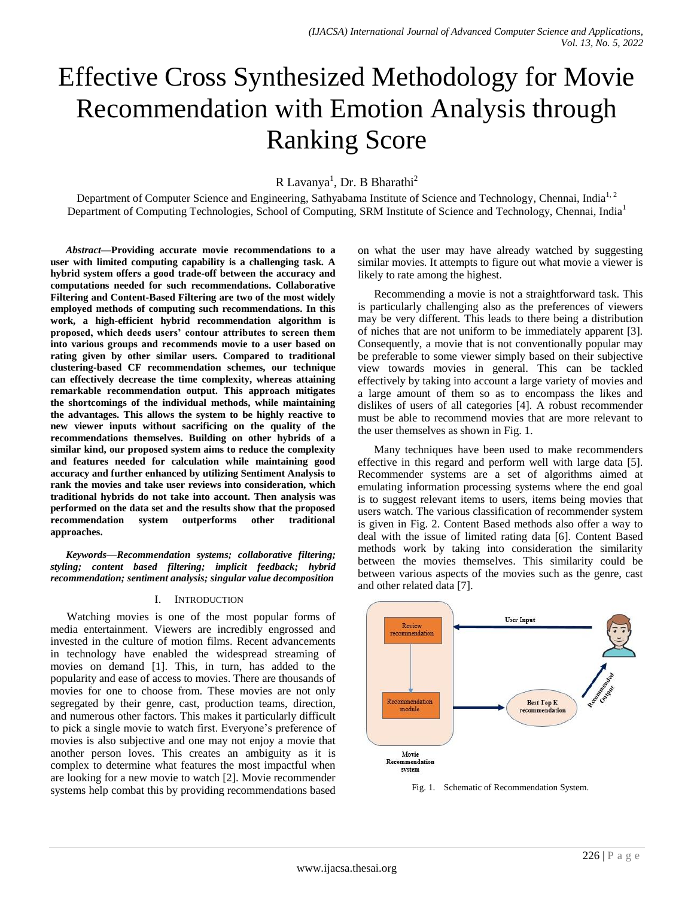# Effective Cross Synthesized Methodology for Movie Recommendation with Emotion Analysis through Ranking Score

R Lavanya<sup>1</sup>, Dr. B Bharathi<sup>2</sup>

Department of Computer Science and Engineering, Sathyabama Institute of Science and Technology, Chennai, India<sup>1, 2</sup> Department of Computing Technologies, School of Computing, SRM Institute of Science and Technology, Chennai, India<sup>1</sup>

*Abstract***—Providing accurate movie recommendations to a user with limited computing capability is a challenging task. A hybrid system offers a good trade-off between the accuracy and computations needed for such recommendations. Collaborative Filtering and Content-Based Filtering are two of the most widely employed methods of computing such recommendations. In this work, a high-efficient hybrid recommendation algorithm is proposed, which deeds users' contour attributes to screen them into various groups and recommends movie to a user based on rating given by other similar users. Compared to traditional clustering-based CF recommendation schemes, our technique can effectively decrease the time complexity, whereas attaining remarkable recommendation output. This approach mitigates the shortcomings of the individual methods, while maintaining the advantages. This allows the system to be highly reactive to new viewer inputs without sacrificing on the quality of the recommendations themselves. Building on other hybrids of a similar kind, our proposed system aims to reduce the complexity and features needed for calculation while maintaining good accuracy and further enhanced by utilizing Sentiment Analysis to rank the movies and take user reviews into consideration, which traditional hybrids do not take into account. Then analysis was performed on the data set and the results show that the proposed recommendation system outperforms other traditional approaches.**

*Keywords—Recommendation systems; collaborative filtering; styling; content based filtering; implicit feedback; hybrid recommendation; sentiment analysis; singular value decomposition*

## I. INTRODUCTION

Watching movies is one of the most popular forms of media entertainment. Viewers are incredibly engrossed and invested in the culture of motion films. Recent advancements in technology have enabled the widespread streaming of movies on demand [1]. This, in turn, has added to the popularity and ease of access to movies. There are thousands of movies for one to choose from. These movies are not only segregated by their genre, cast, production teams, direction, and numerous other factors. This makes it particularly difficult to pick a single movie to watch first. Everyone's preference of movies is also subjective and one may not enjoy a movie that another person loves. This creates an ambiguity as it is complex to determine what features the most impactful when are looking for a new movie to watch [2]. Movie recommender systems help combat this by providing recommendations based on what the user may have already watched by suggesting similar movies. It attempts to figure out what movie a viewer is likely to rate among the highest.

Recommending a movie is not a straightforward task. This is particularly challenging also as the preferences of viewers may be very different. This leads to there being a distribution of niches that are not uniform to be immediately apparent [3]. Consequently, a movie that is not conventionally popular may be preferable to some viewer simply based on their subjective view towards movies in general. This can be tackled effectively by taking into account a large variety of movies and a large amount of them so as to encompass the likes and dislikes of users of all categories [4]. A robust recommender must be able to recommend movies that are more relevant to the user themselves as shown in Fig. 1.

Many techniques have been used to make recommenders effective in this regard and perform well with large data [5]. Recommender systems are a set of algorithms aimed at emulating information processing systems where the end goal is to suggest relevant items to users, items being movies that users watch. The various classification of recommender system is given in Fig. 2. Content Based methods also offer a way to deal with the issue of limited rating data [6]. Content Based methods work by taking into consideration the similarity between the movies themselves. This similarity could be between various aspects of the movies such as the genre, cast and other related data [7].



Fig. 1. Schematic of Recommendation System.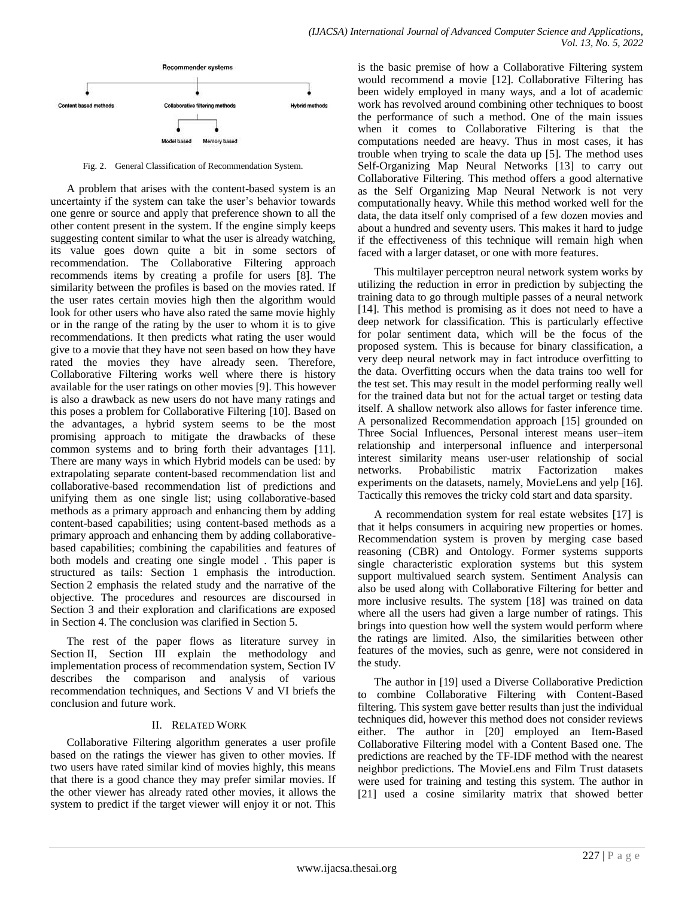

Fig. 2. General Classification of Recommendation System.

A problem that arises with the content-based system is an uncertainty if the system can take the user's behavior towards one genre or source and apply that preference shown to all the other content present in the system. If the engine simply keeps suggesting content similar to what the user is already watching, its value goes down quite a bit in some sectors of recommendation. The Collaborative Filtering approach recommends items by creating a profile for users [8]. The similarity between the profiles is based on the movies rated. If the user rates certain movies high then the algorithm would look for other users who have also rated the same movie highly or in the range of the rating by the user to whom it is to give recommendations. It then predicts what rating the user would give to a movie that they have not seen based on how they have rated the movies they have already seen. Therefore, Collaborative Filtering works well where there is history available for the user ratings on other movies [9]. This however is also a drawback as new users do not have many ratings and this poses a problem for Collaborative Filtering [10]. Based on the advantages, a hybrid system seems to be the most promising approach to mitigate the drawbacks of these common systems and to bring forth their advantages [11]. There are many ways in which Hybrid models can be used: by extrapolating separate content-based recommendation list and collaborative-based recommendation list of predictions and unifying them as one single list; using collaborative-based methods as a primary approach and enhancing them by adding content-based capabilities; using content-based methods as a primary approach and enhancing them by adding collaborativebased capabilities; combining the capabilities and features of both models and creating one single model . This paper is structured as tails: Section 1 emphasis the introduction. Section 2 emphasis the related study and the narrative of the objective. The procedures and resources are discoursed in Section 3 and their exploration and clarifications are exposed in Section 4. The conclusion was clarified in Section 5.

The rest of the paper flows as literature survey in Section II, Section III explain the methodology and implementation process of recommendation system, Section IV describes the comparison and analysis of various recommendation techniques, and Sections V and VI briefs the conclusion and future work.

## II. RELATED WORK

Collaborative Filtering algorithm generates a user profile based on the ratings the viewer has given to other movies. If two users have rated similar kind of movies highly, this means that there is a good chance they may prefer similar movies. If the other viewer has already rated other movies, it allows the system to predict if the target viewer will enjoy it or not. This is the basic premise of how a Collaborative Filtering system would recommend a movie [12]. Collaborative Filtering has been widely employed in many ways, and a lot of academic work has revolved around combining other techniques to boost the performance of such a method. One of the main issues when it comes to Collaborative Filtering is that the computations needed are heavy. Thus in most cases, it has trouble when trying to scale the data up [5]. The method uses Self-Organizing Map Neural Networks [13] to carry out Collaborative Filtering. This method offers a good alternative as the Self Organizing Map Neural Network is not very computationally heavy. While this method worked well for the data, the data itself only comprised of a few dozen movies and about a hundred and seventy users. This makes it hard to judge if the effectiveness of this technique will remain high when faced with a larger dataset, or one with more features.

This multilayer perceptron neural network system works by utilizing the reduction in error in prediction by subjecting the training data to go through multiple passes of a neural network [14]. This method is promising as it does not need to have a deep network for classification. This is particularly effective for polar sentiment data, which will be the focus of the proposed system. This is because for binary classification, a very deep neural network may in fact introduce overfitting to the data. Overfitting occurs when the data trains too well for the test set. This may result in the model performing really well for the trained data but not for the actual target or testing data itself. A shallow network also allows for faster inference time. A personalized Recommendation approach [15] grounded on Three Social Influences, Personal interest means user–item relationship and interpersonal influence and interpersonal interest similarity means user-user relationship of social networks. Probabilistic matrix Factorization makes experiments on the datasets, namely, MovieLens and yelp [16]. Tactically this removes the tricky cold start and data sparsity.

A recommendation system for real estate websites [17] is that it helps consumers in acquiring new properties or homes. Recommendation system is proven by merging case based reasoning (CBR) and Ontology. Former systems supports single characteristic exploration systems but this system support multivalued search system. Sentiment Analysis can also be used along with Collaborative Filtering for better and more inclusive results. The system [18] was trained on data where all the users had given a large number of ratings. This brings into question how well the system would perform where the ratings are limited. Also, the similarities between other features of the movies, such as genre, were not considered in the study.

The author in [19] used a Diverse Collaborative Prediction to combine Collaborative Filtering with Content-Based filtering. This system gave better results than just the individual techniques did, however this method does not consider reviews either. The author in [20] employed an Item-Based Collaborative Filtering model with a Content Based one. The predictions are reached by the TF-IDF method with the nearest neighbor predictions. The MovieLens and Film Trust datasets were used for training and testing this system. The author in [21] used a cosine similarity matrix that showed better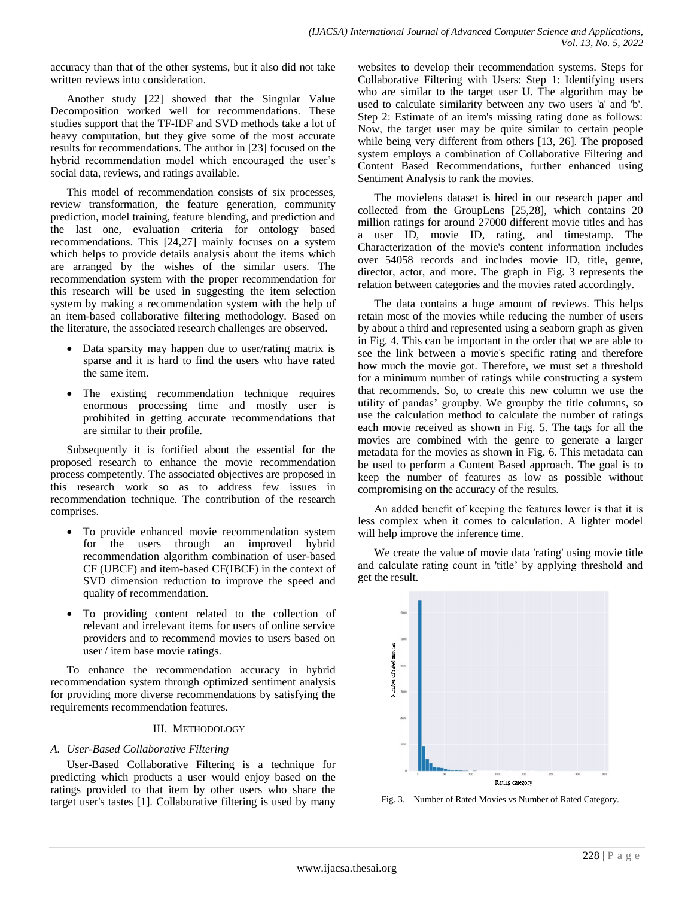accuracy than that of the other systems, but it also did not take written reviews into consideration.

Another study [22] showed that the Singular Value Decomposition worked well for recommendations. These studies support that the TF-IDF and SVD methods take a lot of heavy computation, but they give some of the most accurate results for recommendations. The author in [23] focused on the hybrid recommendation model which encouraged the user's social data, reviews, and ratings available.

This model of recommendation consists of six processes, review transformation, the feature generation, community prediction, model training, feature blending, and prediction and the last one, evaluation criteria for ontology based recommendations. This [24,27] mainly focuses on a system which helps to provide details analysis about the items which are arranged by the wishes of the similar users. The recommendation system with the proper recommendation for this research will be used in suggesting the item selection system by making a recommendation system with the help of an item-based collaborative filtering methodology. Based on the literature, the associated research challenges are observed.

- Data sparsity may happen due to user/rating matrix is sparse and it is hard to find the users who have rated the same item.
- The existing recommendation technique requires enormous processing time and mostly user is prohibited in getting accurate recommendations that are similar to their profile.

Subsequently it is fortified about the essential for the proposed research to enhance the movie recommendation process competently. The associated objectives are proposed in this research work so as to address few issues in recommendation technique. The contribution of the research comprises.

- To provide enhanced movie recommendation system for the users through an improved hybrid recommendation algorithm combination of user-based CF (UBCF) and item-based CF(IBCF) in the context of SVD dimension reduction to improve the speed and quality of recommendation.
- To providing content related to the collection of relevant and irrelevant items for users of online service providers and to recommend movies to users based on user / item base movie ratings.

To enhance the recommendation accuracy in hybrid recommendation system through optimized sentiment analysis for providing more diverse recommendations by satisfying the requirements recommendation features.

## III. METHODOLOGY

# *A. User-Based Collaborative Filtering*

User-Based Collaborative Filtering is a technique for predicting which products a user would enjoy based on the ratings provided to that item by other users who share the target user's tastes [1]. Collaborative filtering is used by many

websites to develop their recommendation systems. Steps for Collaborative Filtering with Users: Step 1: Identifying users who are similar to the target user U. The algorithm may be used to calculate similarity between any two users 'a' and 'b'. Step 2: Estimate of an item's missing rating done as follows: Now, the target user may be quite similar to certain people while being very different from others [13, 26]. The proposed system employs a combination of Collaborative Filtering and Content Based Recommendations, further enhanced using Sentiment Analysis to rank the movies.

The movielens dataset is hired in our research paper and collected from the GroupLens [25,28], which contains 20 million ratings for around 27000 different movie titles and has a user ID, movie ID, rating, and timestamp. The Characterization of the movie's content information includes over 54058 records and includes movie ID, title, genre, director, actor, and more. The graph in Fig. 3 represents the relation between categories and the movies rated accordingly.

The data contains a huge amount of reviews. This helps retain most of the movies while reducing the number of users by about a third and represented using a seaborn graph as given in Fig. 4. This can be important in the order that we are able to see the link between a movie's specific rating and therefore how much the movie got. Therefore, we must set a threshold for a minimum number of ratings while constructing a system that recommends. So, to create this new column we use the utility of pandas' groupby. We groupby the title columns, so use the calculation method to calculate the number of ratings each movie received as shown in Fig. 5. The tags for all the movies are combined with the genre to generate a larger metadata for the movies as shown in Fig. 6. This metadata can be used to perform a Content Based approach. The goal is to keep the number of features as low as possible without compromising on the accuracy of the results.

An added benefit of keeping the features lower is that it is less complex when it comes to calculation. A lighter model will help improve the inference time.

We create the value of movie data 'rating' using movie title and calculate rating count in 'title' by applying threshold and get the result.



Fig. 3. Number of Rated Movies vs Number of Rated Category.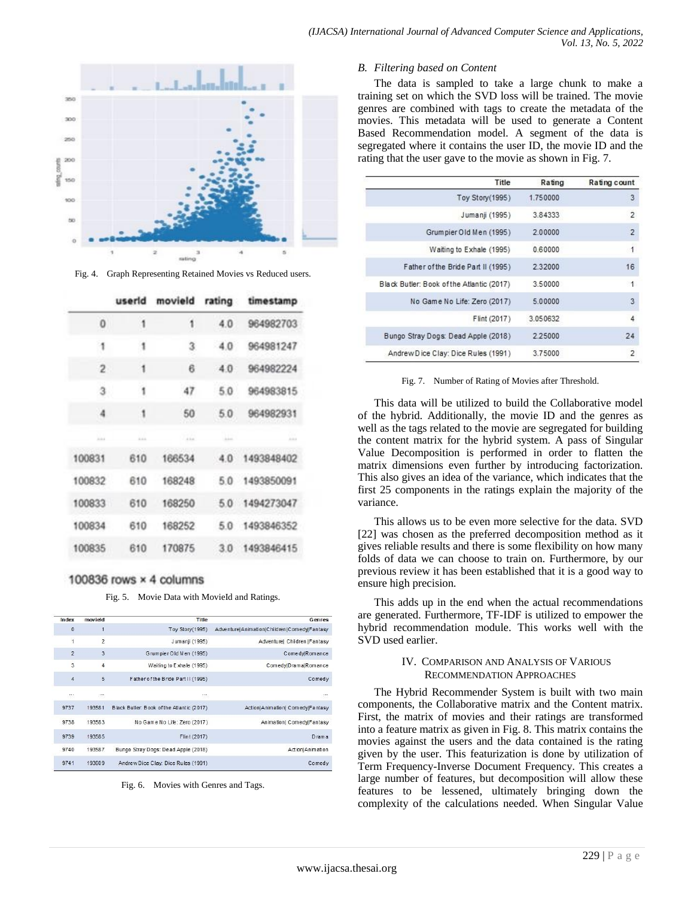

Fig. 4. Graph Representing Retained Movies vs Reduced users.

|                         | userid | movield | rating | timestamp     |
|-------------------------|--------|---------|--------|---------------|
| 0                       | 1      | 1       | 4.0    | 964982703     |
| 1                       | 1      | 3       | $-4.0$ | 964981247     |
| $\overline{\mathbf{2}}$ | 1      | 6       | 4.0    | 964982224     |
| з                       | 1      | 47      | 5.0    | 964983815     |
| 4                       | 1      | 50      | 5.0    | 964982931     |
| 1.1.1                   | --     | $-414$  | Alex   | 1.1.1         |
| 100831                  | 610    | 166534  | 4.0    | 1493848402    |
| 100832                  | 610    | 168248  |        | 50 1493850091 |
| 100833                  | 610    | 168250  | 50     | 1494273047    |
| 100834                  | 610    | 168252  |        | 50 1493846352 |
| 100835                  | 610    | 170875  | 3.0    | 1493846415    |

# 100836 rows × 4 columns

Fig. 5. Movie Data with MovieId and Ratings.

| Genres                                      | Title                                      | movield        | Index          |
|---------------------------------------------|--------------------------------------------|----------------|----------------|
| Adventure Animation Children Comedy Fantasy | Toy Story(1995)                            | 1              | $\Omega$       |
| Adventure  Children   Fantasy               | Jumanji (1995)                             | $\overline{2}$ | 1              |
| C omedviRomance                             | Grumpier Old Men (1995)                    | $\overline{3}$ | $\overline{2}$ |
| Comedy Drama Romance                        | Waiting to Exhale (1995).                  | 4              | 3              |
| Comedy                                      | Father of the Bride Part II (1995)         | 5              | $\overline{4}$ |
| 1.11                                        | $\cdots$                                   | 555            | 55             |
| Action/Animation/ Comedy/Fantasy            | Black Butler: Book of the Atlantic (2017). | 193581         | 9737           |
| Animation  ComedyFantasy                    | No Game No Life: Zero (2017)               | 193583         | 9738           |
| D <sub>rama</sub>                           | Flint (2017)                               | 193585         | 9739           |
| Action Animation                            | Bungo Stray Dogs: Dead Apple (2018)        | 193587         | 9740           |
| Comedy                                      | Andrew Dice Clay: Dice Rules (1991)        | 193609         | 9741           |

Fig. 6. Movies with Genres and Tags.

#### *B. Filtering based on Content*

The data is sampled to take a large chunk to make a training set on which the SVD loss will be trained. The movie genres are combined with tags to create the metadata of the movies. This metadata will be used to generate a Content Based Recommendation model. A segment of the data is segregated where it contains the user ID, the movie ID and the rating that the user gave to the movie as shown in Fig. 7.

| Title                                     | Rating   | Rating count         |
|-------------------------------------------|----------|----------------------|
| Toy Story(1995)                           | 1.750000 | 3                    |
| Jumanji (1995)                            | 3.84333  | $\overline{2}$       |
| Grumpier Old Men (1995)                   | 2.00000  | $\overline{2}$       |
| Waiting to Exhale (1995)                  | 0.60000  | $\overline{1}$       |
| Father of the Bride Part II (1995)        | 2.32000  | 16                   |
| Black Butler: Book of the Atlantic (2017) | 3.50000  | $\ddot{\phantom{1}}$ |
| No Game No Life: Zero (2017)              | 5.00000  | 3                    |
| Flint (2017)                              | 3.050632 | 4                    |
| Bungo Stray Dogs: Dead Apple (2018)       | 2.25000  | 24                   |
| Andrew Dice Clay: Dice Rules (1991)       | 3.75000  | $\overline{2}$       |

Fig. 7. Number of Rating of Movies after Threshold.

This data will be utilized to build the Collaborative model of the hybrid. Additionally, the movie ID and the genres as well as the tags related to the movie are segregated for building the content matrix for the hybrid system. A pass of Singular Value Decomposition is performed in order to flatten the matrix dimensions even further by introducing factorization. This also gives an idea of the variance, which indicates that the first 25 components in the ratings explain the majority of the variance.

This allows us to be even more selective for the data. SVD [22] was chosen as the preferred decomposition method as it gives reliable results and there is some flexibility on how many folds of data we can choose to train on. Furthermore, by our previous review it has been established that it is a good way to ensure high precision.

This adds up in the end when the actual recommendations are generated. Furthermore, TF-IDF is utilized to empower the hybrid recommendation module. This works well with the SVD used earlier.

## IV. COMPARISON AND ANALYSIS OF VARIOUS RECOMMENDATION APPROACHES

The Hybrid Recommender System is built with two main components, the Collaborative matrix and the Content matrix. First, the matrix of movies and their ratings are transformed into a feature matrix as given in Fig. 8. This matrix contains the movies against the users and the data contained is the rating given by the user. This featurization is done by utilization of Term Frequency-Inverse Document Frequency. This creates a large number of features, but decomposition will allow these features to be lessened, ultimately bringing down the complexity of the calculations needed. When Singular Value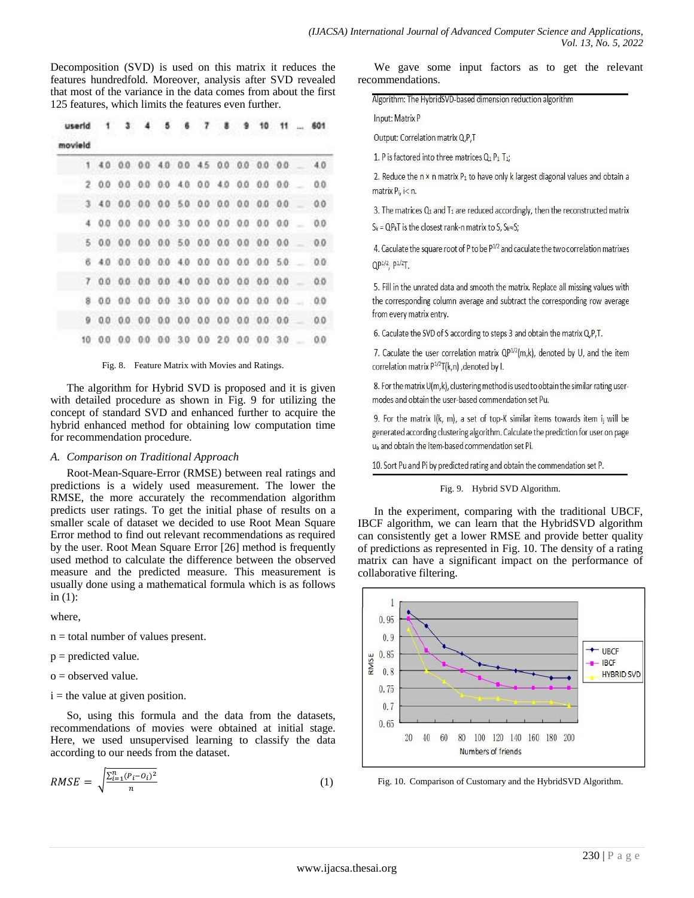Decomposition (SVD) is used on this matrix it reduces the features hundredfold. Moreover, analysis after SVD revealed that most of the variance in the data comes from about the first 125 features, which limits the features even further.

| userid  |  |                                       |  |  |  |  | $1$ 3 4 5 6 7 8 9 10 11  601          |
|---------|--|---------------------------------------|--|--|--|--|---------------------------------------|
| movield |  |                                       |  |  |  |  |                                       |
|         |  | 1 40 00 00 40 00 45 00 00 00 00 40    |  |  |  |  |                                       |
|         |  | 2 00 00 00 00 40 00 40 00 00 00       |  |  |  |  | 0.0                                   |
|         |  | 3 40 00 00 00 50 00 00 00 00 00 00    |  |  |  |  | 0.0                                   |
|         |  | 4 00 00 00 00 30 00 00 00 00 00 .     |  |  |  |  | 0.0                                   |
|         |  |                                       |  |  |  |  | 0.0                                   |
|         |  |                                       |  |  |  |  | 6 40 00 00 00 40 00 00 00 00 50 00    |
|         |  | 7 00 00 00 00 40 00 00 00 00 00 00 00 |  |  |  |  |                                       |
|         |  |                                       |  |  |  |  | 8 00 00 00 00 30 00 00 00 00 00 00 00 |
|         |  |                                       |  |  |  |  | 9 00 00 00 00 00 00 00 00 00 00 00 00 |
|         |  |                                       |  |  |  |  | 10 00 00 00 00 30 00 20 00 00 30 00   |

## Fig. 8. Feature Matrix with Movies and Ratings.

The algorithm for Hybrid SVD is proposed and it is given with detailed procedure as shown in Fig. 9 for utilizing the concept of standard SVD and enhanced further to acquire the hybrid enhanced method for obtaining low computation time for recommendation procedure.

## *A. Comparison on Traditional Approach*

Root-Mean-Square-Error (RMSE) between real ratings and predictions is a widely used measurement. The lower the RMSE, the more accurately the recommendation algorithm predicts user ratings. To get the initial phase of results on a smaller scale of dataset we decided to use Root Mean Square Error method to find out relevant recommendations as required by the user. Root Mean Square Error [26] method is frequently used method to calculate the difference between the observed measure and the predicted measure. This measurement is usually done using a mathematical formula which is as follows in (1):

where,

n = total number of values present.

 $p =$  predicted value.

 $o = observed value$ .

 $i =$  the value at given position.

So, using this formula and the data from the datasets, recommendations of movies were obtained at initial stage. Here, we used unsupervised learning to classify the data according to our needs from the dataset.

$$
RMSE = \sqrt{\frac{\sum_{i=1}^{n} (P_i - O_i)^2}{n}}
$$
 (1)

We gave some input factors as to get the relevant recommendations.

Algorithm: The HybridSVD-based dimension reduction algorithm

Input: Matrix P

Output: Correlation matrix Q,P,T

1. P is factored into three matrices Q<sub>1</sub> P<sub>1</sub> T<sub>1</sub>;

2. Reduce the  $n \times n$  matrix  $P_1$  to have only k largest diagonal values and obtain a matrix  $P_i$ ,  $i < n$ .

3. The matrices  $Q_1$  and  $T_1$  are reduced accordingly, then the reconstructed matrix  $S_k = QP_kT$  is the closest rank-n matrix to S,  $S_k \approx S_i^*$ 

4. Caculate the square root of P to be P<sup>1/2</sup> and caculate the two correlation matrixes  $OP^{1/2}$ ,  $P^{1/2}$ T.

5. Fill in the unrated data and smooth the matrix. Replace all missing values with the corresponding column average and subtract the corresponding row average from every matrix entry.

6. Caculate the SVD of S according to steps 3 and obtain the matrix Q, P, T.

7. Caculate the user correlation matrix QP<sup>1/2</sup>(m,k), denoted by U, and the item correlation matrix  $P^{1/2}T(k,n)$ , denoted by I.

8. For the matrix U(m,k), clustering method is used to obtain the similar rating usermodes and obtain the user-based commendation set Pu.

9. For the matrix  $I(k, m)$ , a set of top-K similar items towards item ij will be generated according clustering algorithm. Calculate the prediction for user on page u<sub>a</sub> and obtain the item-based commendation set Pi.

10. Sort Pu and Pi by predicted rating and obtain the commendation set P.

## Fig. 9. Hybrid SVD Algorithm.

In the experiment, comparing with the traditional UBCF, IBCF algorithm, we can learn that the HybridSVD algorithm can consistently get a lower RMSE and provide better quality of predictions as represented in Fig. 10. The density of a rating matrix can have a significant impact on the performance of collaborative filtering.



Fig. 10. Comparison of Customary and the HybridSVD Algorithm.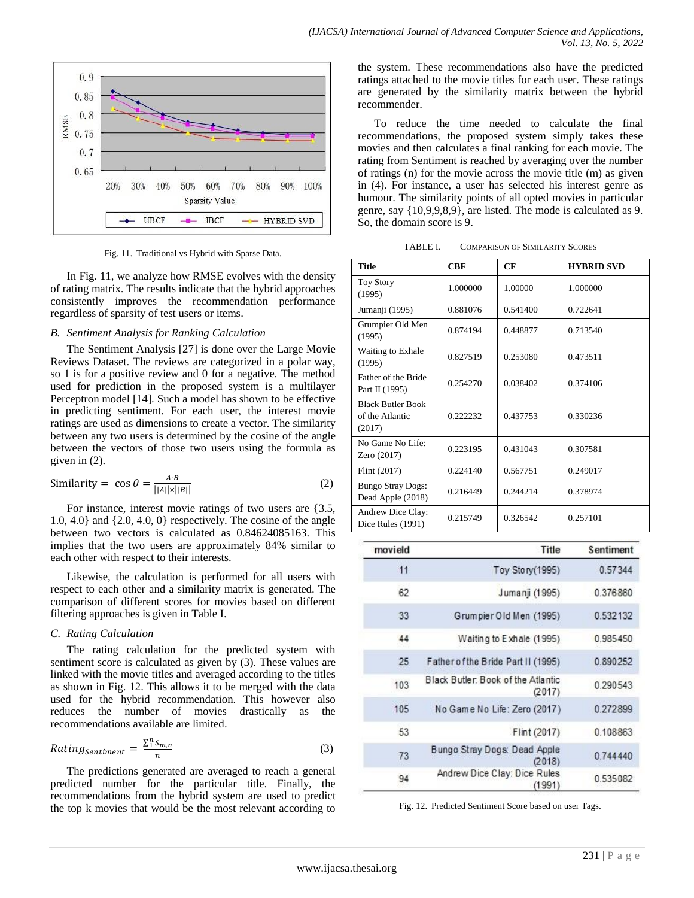

Fig. 11. Traditional vs Hybrid with Sparse Data.

In Fig. 11, we analyze how RMSE evolves with the density of rating matrix. The results indicate that the hybrid approaches consistently improves the recommendation performance regardless of sparsity of test users or items.

## *B. Sentiment Analysis for Ranking Calculation*

The Sentiment Analysis [27] is done over the Large Movie Reviews Dataset. The reviews are categorized in a polar way, so 1 is for a positive review and 0 for a negative. The method used for prediction in the proposed system is a multilayer Perceptron model [14]. Such a model has shown to be effective in predicting sentiment. For each user, the interest movie ratings are used as dimensions to create a vector. The similarity between any two users is determined by the cosine of the angle between the vectors of those two users using the formula as given in (2).

Similarly = 
$$
\cos \theta = \frac{A \cdot B}{||A|| \times ||B||}
$$
 (2)

For instance, interest movie ratings of two users are {3.5, 1.0, 4.0} and {2.0, 4.0, 0} respectively. The cosine of the angle between two vectors is calculated as 0.84624085163. This implies that the two users are approximately 84% similar to each other with respect to their interests.

Likewise, the calculation is performed for all users with respect to each other and a similarity matrix is generated. The comparison of different scores for movies based on different filtering approaches is given in Table I.

# *C. Rating Calculation*

The rating calculation for the predicted system with sentiment score is calculated as given by (3). These values are linked with the movie titles and averaged according to the titles as shown in Fig. 12. This allows it to be merged with the data used for the hybrid recommendation. This however also reduces the number of movies drastically as the recommendations available are limited.

$$
Rating_{sentiment} = \frac{\sum_{1}^{n} S_{m,n}}{n}
$$
\n(3)

The predictions generated are averaged to reach a general predicted number for the particular title. Finally, the recommendations from the hybrid system are used to predict the top k movies that would be the most relevant according to the system. These recommendations also have the predicted ratings attached to the movie titles for each user. These ratings are generated by the similarity matrix between the hybrid recommender.

To reduce the time needed to calculate the final recommendations, the proposed system simply takes these movies and then calculates a final ranking for each movie. The rating from Sentiment is reached by averaging over the number of ratings (n) for the movie across the movie title (m) as given in (4). For instance, a user has selected his interest genre as humour. The similarity points of all opted movies in particular genre, say {10,9,9,8,9}, are listed. The mode is calculated as 9. So, the domain score is 9.

TABLE I. COMPARISON OF SIMILARITY SCORES

| Title                                                 | CRF      | CF       | <b>HYBRID SVD</b> |  |
|-------------------------------------------------------|----------|----------|-------------------|--|
| <b>Toy Story</b><br>(1995)                            | 1.000000 | 1.00000  | 1.000000          |  |
| Jumanji (1995)                                        | 0.881076 | 0.541400 | 0.722641          |  |
| Grumpier Old Men<br>(1995)                            | 0.874194 | 0.448877 | 0.713540          |  |
| Waiting to Exhale<br>(1995)                           | 0.827519 | 0.253080 | 0.473511          |  |
| Father of the Bride<br>Part II (1995)                 | 0.254270 | 0.038402 | 0.374106          |  |
| <b>Black Butler Book</b><br>of the Atlantic<br>(2017) | 0.222232 | 0.437753 | 0.330236          |  |
| No Game No Life:<br>Zero (2017)                       | 0.223195 | 0.431043 | 0.307581          |  |
| Flint (2017)                                          | 0.224140 | 0.567751 | 0.249017          |  |
| <b>Bungo Stray Dogs:</b><br>Dead Apple (2018)         | 0.216449 | 0.244214 | 0.378974          |  |
| Andrew Dice Clay:<br>Dice Rules (1991)                | 0.215749 | 0.326542 | 0.257101          |  |

| movield | Title                                        | Sentiment |
|---------|----------------------------------------------|-----------|
| 11      | Toy Story (1995)                             | 0.57344   |
| 62      | Jumanji (1995)                               | 0.376860  |
| 33      | Grumpier Old Men (1995)                      | 0.532132  |
| 44      | Waiting to Exhale (1995)                     | 0.985450  |
| 25      | Father of the Bride Part II (1995)           | 0.890252  |
| 103     | Black Butler, Book of the Atlantic<br>(2017) | 0.290543  |
| 105     | No Game No Life: Zero (2017)                 | 0.272899  |
| 53      | Flint (2017)                                 | 0.108863  |
| 73      | Bungo Stray Dogs: Dead Apple<br>(2018)       | 0.744440  |
| 94      | Andrew Dice Clay: Dice Rules<br>(1991)       | 0.535082  |

Fig. 12. Predicted Sentiment Score based on user Tags.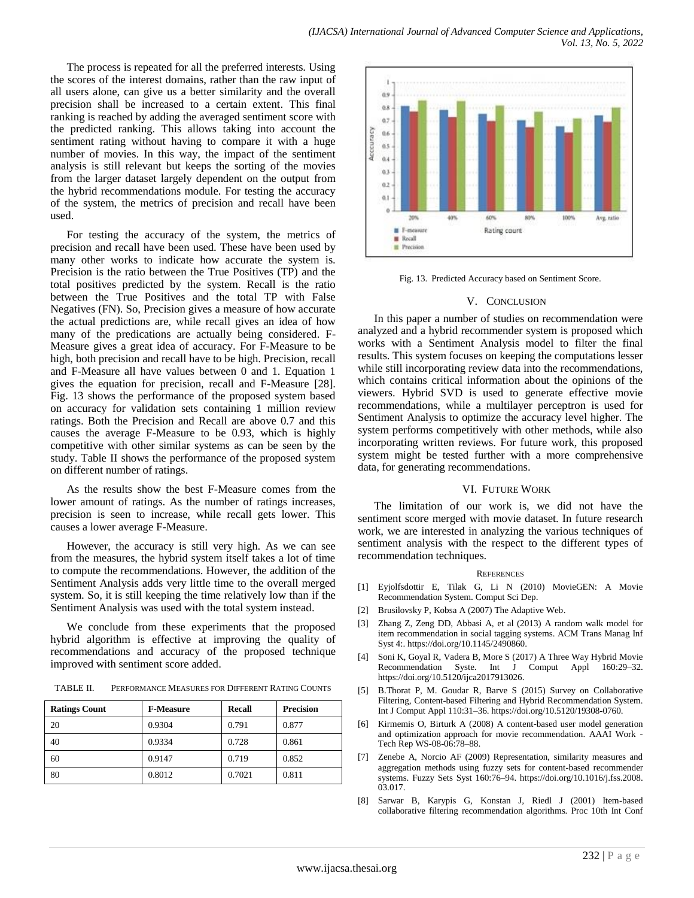The process is repeated for all the preferred interests. Using the scores of the interest domains, rather than the raw input of all users alone, can give us a better similarity and the overall precision shall be increased to a certain extent. This final ranking is reached by adding the averaged sentiment score with the predicted ranking. This allows taking into account the sentiment rating without having to compare it with a huge number of movies. In this way, the impact of the sentiment analysis is still relevant but keeps the sorting of the movies from the larger dataset largely dependent on the output from the hybrid recommendations module. For testing the accuracy of the system, the metrics of precision and recall have been used.

For testing the accuracy of the system, the metrics of precision and recall have been used. These have been used by many other works to indicate how accurate the system is. Precision is the ratio between the True Positives (TP) and the total positives predicted by the system. Recall is the ratio between the True Positives and the total TP with False Negatives (FN). So, Precision gives a measure of how accurate the actual predictions are, while recall gives an idea of how many of the predications are actually being considered. F-Measure gives a great idea of accuracy. For F-Measure to be high, both precision and recall have to be high. Precision, recall and F-Measure all have values between 0 and 1. Equation 1 gives the equation for precision, recall and F-Measure [28]. Fig. 13 shows the performance of the proposed system based on accuracy for validation sets containing 1 million review ratings. Both the Precision and Recall are above 0.7 and this causes the average F-Measure to be 0.93, which is highly competitive with other similar systems as can be seen by the study. Table II shows the performance of the proposed system on different number of ratings.

As the results show the best F-Measure comes from the lower amount of ratings. As the number of ratings increases, precision is seen to increase, while recall gets lower. This causes a lower average F-Measure.

However, the accuracy is still very high. As we can see from the measures, the hybrid system itself takes a lot of time to compute the recommendations. However, the addition of the Sentiment Analysis adds very little time to the overall merged system. So, it is still keeping the time relatively low than if the Sentiment Analysis was used with the total system instead.

We conclude from these experiments that the proposed hybrid algorithm is effective at improving the quality of recommendations and accuracy of the proposed technique improved with sentiment score added.

TABLE II. PERFORMANCE MEASURES FOR DIFFERENT RATING COUNTS

| <b>Ratings Count</b> | <b>F-Measure</b> | <b>Recall</b> | <b>Precision</b> |  |
|----------------------|------------------|---------------|------------------|--|
| 20                   | 0.9304           | 0.791         | 0.877            |  |
| 40                   | 0.9334           | 0.728         | 0.861            |  |
| 60                   | 0.9147           | 0.719         | 0.852            |  |
| 80                   | 0.8012           | 0.7021        | 0.811            |  |



Fig. 13. Predicted Accuracy based on Sentiment Score.

#### V. CONCLUSION

In this paper a number of studies on recommendation were analyzed and a hybrid recommender system is proposed which works with a Sentiment Analysis model to filter the final results. This system focuses on keeping the computations lesser while still incorporating review data into the recommendations, which contains critical information about the opinions of the viewers. Hybrid SVD is used to generate effective movie recommendations, while a multilayer perceptron is used for Sentiment Analysis to optimize the accuracy level higher. The system performs competitively with other methods, while also incorporating written reviews. For future work, this proposed system might be tested further with a more comprehensive data, for generating recommendations.

## VI. FUTURE WORK

The limitation of our work is, we did not have the sentiment score merged with movie dataset. In future research work, we are interested in analyzing the various techniques of sentiment analysis with the respect to the different types of recommendation techniques.

#### **REFERENCES**

- [1] Eyjolfsdottir E, Tilak G, Li N (2010) MovieGEN: A Movie Recommendation System. Comput Sci Dep.
- [2] Brusilovsky P, Kobsa A (2007) The Adaptive Web.
- [3] Zhang Z, Zeng DD, Abbasi A, et al (2013) A random walk model for item recommendation in social tagging systems. ACM Trans Manag Inf Syst 4:. https://doi.org/10.1145/2490860.
- [4] Soni K, Goyal R, Vadera B, More S (2017) A Three Way Hybrid Movie Recommendation Syste. Int J Comput Appl 160:29–32. https://doi.org/10.5120/ijca2017913026.
- [5] B.Thorat P, M. Goudar R, Barve S (2015) Survey on Collaborative Filtering, Content-based Filtering and Hybrid Recommendation System. Int J Comput Appl 110:31–36. https://doi.org/10.5120/19308-0760.
- [6] Kirmemis O, Birturk A (2008) A content-based user model generation and optimization approach for movie recommendation. AAAI Work - Tech Rep WS-08-06:78–88.
- [7] Zenebe A, Norcio AF (2009) Representation, similarity measures and aggregation methods using fuzzy sets for content-based recommender systems. Fuzzy Sets Syst 160:76–94. https://doi.org/10.1016/j.fss.2008. 03.017.
- [8] Sarwar B, Karypis G, Konstan J, Riedl J (2001) Item-based collaborative filtering recommendation algorithms. Proc 10th Int Conf